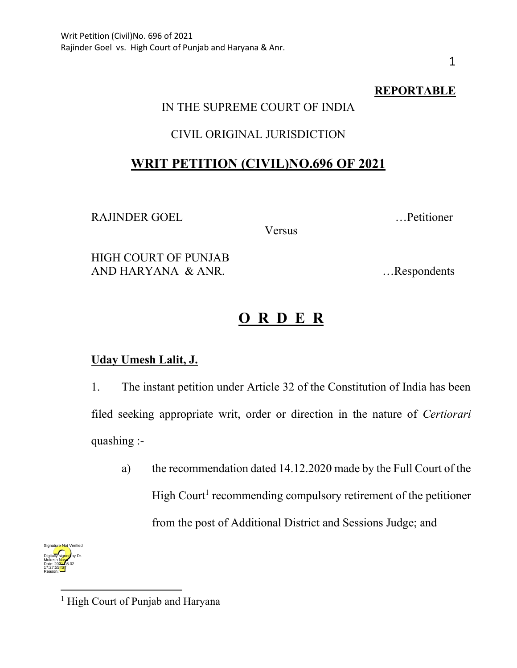# **REPORTABLE**

# IN THE SUPREME COURT OF INDIA

### CIVIL ORIGINAL JURISDICTION

# **WRIT PETITION (CIVIL)NO.696 OF 2021**

RAJINDER GOEL …Petitioner

Versus

HIGH COURT OF PUNJAB AND HARYANA & ANR. …Respondents

# **O R D E R**

### **Uday Umesh Lalit, J.**

1. The instant petition under Article 32 of the Constitution of India has been filed seeking appropriate writ, order or direction in the nature of *Certiorari* quashing :-

a) the recommendation dated 14.12.2020 made by the Full Court of the High Court<sup>1</sup> recommending compulsory retirement of the petitioner from the post of Additional District and Sessions Judge; and



<sup>&</sup>lt;sup>1</sup> High Court of Punjab and Haryana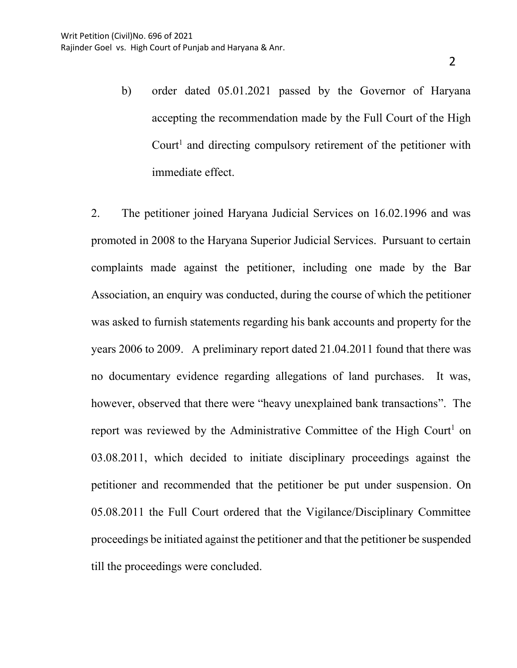b) order dated 05.01.2021 passed by the Governor of Haryana accepting the recommendation made by the Full Court of the High Court<sup>1</sup> and directing compulsory retirement of the petitioner with immediate effect.

2. The petitioner joined Haryana Judicial Services on 16.02.1996 and was promoted in 2008 to the Haryana Superior Judicial Services. Pursuant to certain complaints made against the petitioner, including one made by the Bar Association, an enquiry was conducted, during the course of which the petitioner was asked to furnish statements regarding his bank accounts and property for the years 2006 to 2009. A preliminary report dated 21.04.2011 found that there was no documentary evidence regarding allegations of land purchases. It was, however, observed that there were "heavy unexplained bank transactions". The report was reviewed by the Administrative Committee of the High Court<sup>1</sup> on 03.08.2011, which decided to initiate disciplinary proceedings against the petitioner and recommended that the petitioner be put under suspension. On 05.08.2011 the Full Court ordered that the Vigilance/Disciplinary Committee proceedings be initiated against the petitioner and that the petitioner be suspended till the proceedings were concluded.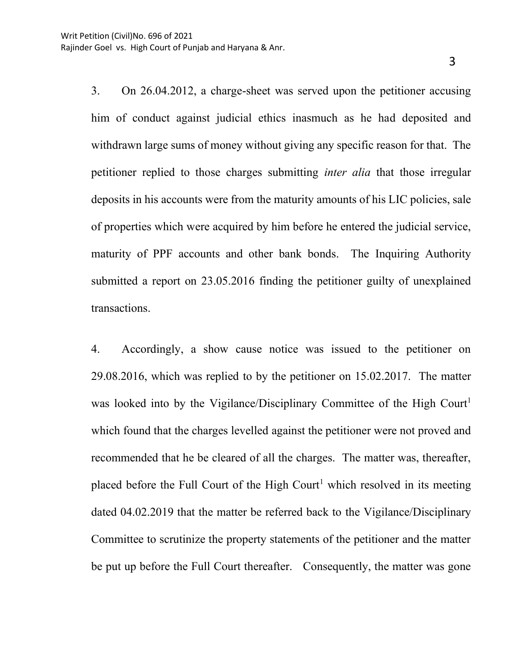3. On 26.04.2012, a charge-sheet was served upon the petitioner accusing him of conduct against judicial ethics inasmuch as he had deposited and withdrawn large sums of money without giving any specific reason for that. The petitioner replied to those charges submitting *inter alia* that those irregular deposits in his accounts were from the maturity amounts of his LIC policies, sale of properties which were acquired by him before he entered the judicial service, maturity of PPF accounts and other bank bonds. The Inquiring Authority submitted a report on 23.05.2016 finding the petitioner guilty of unexplained transactions.

4. Accordingly, a show cause notice was issued to the petitioner on 29.08.2016, which was replied to by the petitioner on 15.02.2017. The matter was looked into by the Vigilance/Disciplinary Committee of the High Court<sup>1</sup> which found that the charges levelled against the petitioner were not proved and recommended that he be cleared of all the charges. The matter was, thereafter, placed before the Full Court of the High Court<sup>1</sup> which resolved in its meeting dated 04.02.2019 that the matter be referred back to the Vigilance/Disciplinary Committee to scrutinize the property statements of the petitioner and the matter be put up before the Full Court thereafter. Consequently, the matter was gone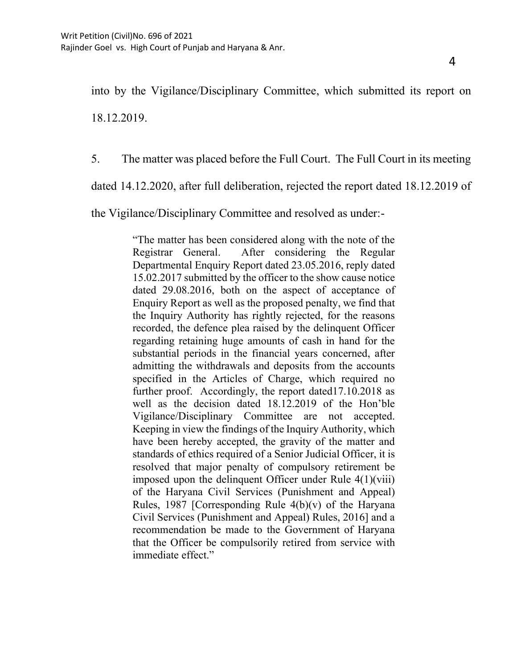into by the Vigilance/Disciplinary Committee, which submitted its report on 18.12.2019.

5. The matter was placed before the Full Court. The Full Court in its meeting

dated 14.12.2020, after full deliberation, rejected the report dated 18.12.2019 of

the Vigilance/Disciplinary Committee and resolved as under:-

"The matter has been considered along with the note of the Registrar General. After considering the Regular Departmental Enquiry Report dated 23.05.2016, reply dated 15.02.2017 submitted by the officer to the show cause notice dated 29.08.2016, both on the aspect of acceptance of Enquiry Report as well as the proposed penalty, we find that the Inquiry Authority has rightly rejected, for the reasons recorded, the defence plea raised by the delinquent Officer regarding retaining huge amounts of cash in hand for the substantial periods in the financial years concerned, after admitting the withdrawals and deposits from the accounts specified in the Articles of Charge, which required no further proof. Accordingly, the report dated17.10.2018 as well as the decision dated 18.12.2019 of the Hon'ble Vigilance/Disciplinary Committee are not accepted. Keeping in view the findings of the Inquiry Authority, which have been hereby accepted, the gravity of the matter and standards of ethics required of a Senior Judicial Officer, it is resolved that major penalty of compulsory retirement be imposed upon the delinquent Officer under Rule 4(1)(viii) of the Haryana Civil Services (Punishment and Appeal) Rules, 1987 [Corresponding Rule  $4(b)(v)$  of the Haryana Civil Services (Punishment and Appeal) Rules, 2016] and a recommendation be made to the Government of Haryana that the Officer be compulsorily retired from service with immediate effect."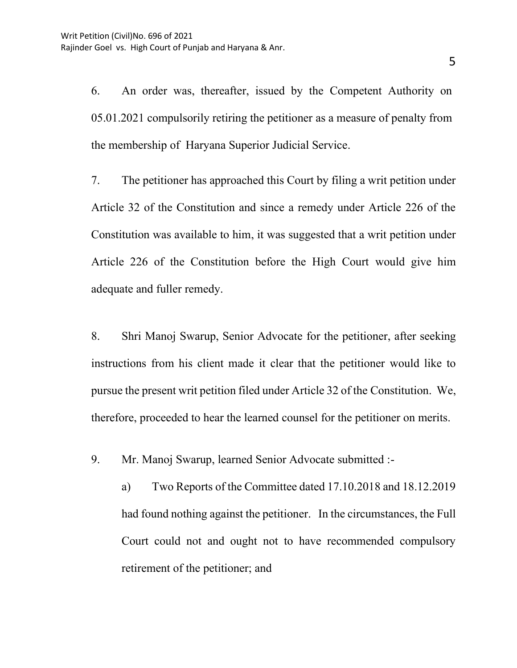6. An order was, thereafter, issued by the Competent Authority on 05.01.2021 compulsorily retiring the petitioner as a measure of penalty from the membership of Haryana Superior Judicial Service.

7. The petitioner has approached this Court by filing a writ petition under Article 32 of the Constitution and since a remedy under Article 226 of the Constitution was available to him, it was suggested that a writ petition under Article 226 of the Constitution before the High Court would give him adequate and fuller remedy.

8. Shri Manoj Swarup, Senior Advocate for the petitioner, after seeking instructions from his client made it clear that the petitioner would like to pursue the present writ petition filed under Article 32 of the Constitution. We, therefore, proceeded to hear the learned counsel for the petitioner on merits.

9. Mr. Manoj Swarup, learned Senior Advocate submitted :-

a) Two Reports of the Committee dated 17.10.2018 and 18.12.2019 had found nothing against the petitioner. In the circumstances, the Full Court could not and ought not to have recommended compulsory retirement of the petitioner; and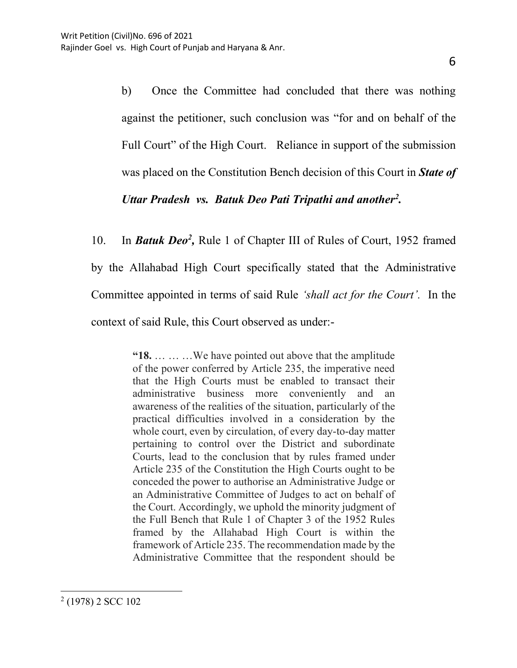b) Once the Committee had concluded that there was nothing against the petitioner, such conclusion was "for and on behalf of the Full Court" of the High Court. Reliance in support of the submission was placed on the Constitution Bench decision of this Court in *State of Uttar Pradesh vs. Batuk Deo Pati Tripathi and another<sup>2</sup> .*

10. In *Batuk Deo<sup>2</sup>*, Rule 1 of Chapter III of Rules of Court, 1952 framed by the Allahabad High Court specifically stated that the Administrative Committee appointed in terms of said Rule *'shall act for the Court'.* In the context of said Rule, this Court observed as under:-

> **"18.** … … …We have pointed out above that the amplitude of the power conferred by Article 235, the imperative need that the High Courts must be enabled to transact their administrative business more conveniently and an awareness of the realities of the situation, particularly of the practical difficulties involved in a consideration by the whole court, even by circulation, of every day-to-day matter pertaining to control over the District and subordinate Courts, lead to the conclusion that by rules framed under Article 235 of the Constitution the High Courts ought to be conceded the power to authorise an Administrative Judge or an Administrative Committee of Judges to act on behalf of the Court. Accordingly, we uphold the minority judgment of the Full Bench that Rule 1 of Chapter 3 of the 1952 Rules framed by the Allahabad High Court is within the framework of Article 235. The recommendation made by the Administrative Committee that the respondent should be

<sup>&</sup>lt;sup>2</sup> (1978) 2 SCC 102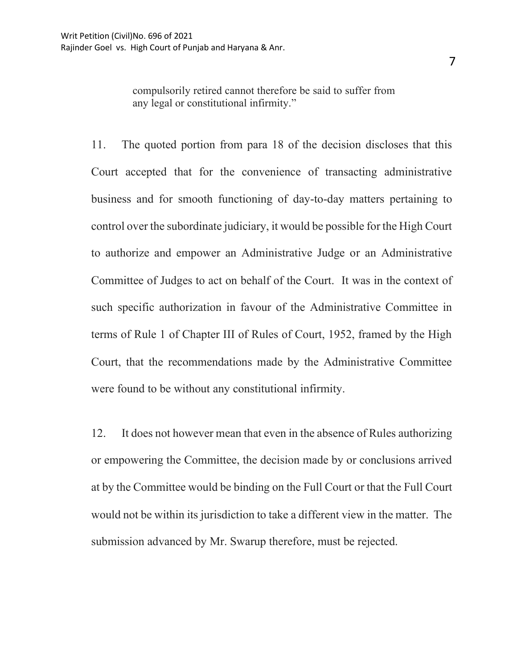7

compulsorily retired cannot therefore be said to suffer from any legal or constitutional infirmity."

11. The quoted portion from para 18 of the decision discloses that this Court accepted that for the convenience of transacting administrative business and for smooth functioning of day-to-day matters pertaining to control over the subordinate judiciary, it would be possible for the High Court to authorize and empower an Administrative Judge or an Administrative Committee of Judges to act on behalf of the Court. It was in the context of such specific authorization in favour of the Administrative Committee in terms of Rule 1 of Chapter III of Rules of Court, 1952, framed by the High Court, that the recommendations made by the Administrative Committee were found to be without any constitutional infirmity.

12. It does not however mean that even in the absence of Rules authorizing or empowering the Committee, the decision made by or conclusions arrived at by the Committee would be binding on the Full Court or that the Full Court would not be within its jurisdiction to take a different view in the matter. The submission advanced by Mr. Swarup therefore, must be rejected.